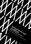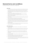# General terms and conditions

Of Secondment of Women in Sales B.V.

# **Article 1. Scope**

- 1. These general terms and conditions apply to all quotations, offers and agreements with regard to the services provided by Women in Sales B.V. The general terms and conditions apply to all legal relationships between Women in Sales Detachering B.V. and any client, as well as to all legal relationships between the client and (legal) persons used by Women in Sales B.V. to carry out an assignment.
- 2. Deviations from and/or additions to these general terms and conditions can be agreed on explicitly in writing only. Deviations are only incidental in nature. The client cannot derive any rights from a deviation from the general terms and conditions, agreed on in a previous assignment.
- 3. The applicability of the general terms and conditions of the client, by whatever name, is hereby explicitly excluded.
- 4. If one or more provisions of these general terms and conditions are partly or fully null and void or partly or fully voided, the other provisions remain fully applicable.
- 5. The content of the Women in Sales B.V. website, as well as the content of all other communications on the Internet, has been compiled with the greatest care. Women in Sales B.V. cannot guarantee the nature, correctness or content of this information. Women in Sales B.V. is not liable for any errors or inaccuracies or for the consequences resulting from the use of the information concerned.
- 6. The term 'in writing' or 'written' in these general terms and conditions also includes documents that are sent electronically, such as e-mail and fax messages.

# **Article 2. Offers and prices**

- 1. All quotations made by Women in Sales B.V. are without obligation, unless explicitly agreed otherwise in writing.
- 2. If during the performance of the work, it appears that a price increase of more than 10% of the quoted price will arise, the client will be contacted about this first, if the circumstances allow this.
- 3. In the event of a price increase of less than the percentage referred to in paragraph 2, the obligation referred to in paragraph 2 lapses and the client is deemed to tacitly agree to this price increase.
- 4. The client has the right to demand from Women in Sales B.V. to demonstrate that a passed on price increase is realistic.
- 5. Unless otherwise agreed on in writing, the amount charged as a fee is calculated on the basis of the time spent, applying the usual hourly rates of Women in Sales B.V.
- 6. Travel costs can also be charged, if agreed and recorded in writing.
- 7. The costs (disbursements) incurred by Women in Sales B.V. will be charged to the client. These costs may include shipping costs, transport costs, fees, materials used, telephone and fax costs and expense claims from third parties engaged.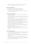8. All prices are exclusive of VAT, unless explicitly specified otherwise. Women in Sales B.V. is entitled to pass the charges of each change to the VAT rate to the client.

#### **Article 3. Formation of agreement**

An agreement between Women in Sales B.V. and the client is concluded:

- by acceptance of a quotation by the client within the set acceptance period, or
- upon receipt by Women in Sales B.V. of a signed order confirmation, or
- by the start of the services provided by Women in Sales B.V. without the client objecting to this immediately after first becoming aware of this.

#### **Article 4. Execution of the agreement**

- 1. Women in Sales B.V. will perform the agreement to the best of its knowledge and ability and in accordance with high standards.
- 2. All statements and/or references to the services and products of Women in Sales B.V. are made to the best of Women in Sales B.V.'s knowledge but can reasonably deviate from this during the performance of the agreement.
- 3. Errors and/or deviations of a minor nature in or during the performance of the agreement cannot be a reason for termination of the agreement, refusal to have the agreement performed, suspension of any payment obligation or for changing the agreed price.
- 4. Women in Sales B.V. supports the client by making a temporary worker available for the performance of the agreed work. The term of deployment of a temporary worker is specified in the agreement as referred to in Article 3. When performing the agreement, Women in Sales B.V. has complete freedom to determine who carries out the assignment.
- 5. The client ensures the assigned worker is able to carry out his work properly and to provide him - free of charge - with adequate workspace and facilities, all this in accordance with the applicable working conditions rules.
- 6. If and insofar as required for a proper performance of the agreement, Women in Sales B.V. is entitled to have certain work carried out by third parties.
- 7. Changing the person who performs the agreement is permitted without prior consultation with the client.

#### **Article 5. Changes to the agreement**

- 1. If during the performance of the agreement, it appears that proper performance requires the work to be carried out to be amended or supplemented, the parties will amend the agreement accordingly, in good time and by mutual consultation.
- 2. Changes in or to the assignment are only binding on Women in Sales B.V. insofar as it has accepted these changes in writing or insofar as it has effectively started the performance of the changed assignment.
- 3. Changes in or to the assignment may result in the agreed price and/or the schedule and duration of the assignment being affected. If that is the case, Women in Sales B.V. will inform the client about this in advance, unless the changes are of minor significance. These changes do not form a reason to terminate the assignment.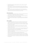- 4. If the client makes a request to change the assignment, Women in Sales B.V. will notify the client of the consequences.
- 5. Changes required by the client after the assignment has been issued must be notified to Women in Sales B.V. in a timely manner and in writing. If they are given verbally or by telephone, the risk with regard to the manner of performance of the changed assignment will be borne by the client.
- 6. If Women in Sales B.V. expresses itself negatively towards the client with regard to these changes, but the client persists in their implementation, the consequences of these changes and the result thereof will be entirely at the expense and risk of the client.

#### **Article 6. Provision of data**

- 1. The client ensures that all data required by Women in Sales B.V. for the adequate performance of the assignment is provided to Women in Sales B.V. in the desired form.
- 2. Women in Sales B.V. is entitled to suspend the performance of the assignment until the client has fulfilled the obligation referred to in the previous paragraph.
- 3. The client ensures that the data referred to in the first paragraph is correct and complete and indemnifies Women in Sales B.V. against any consequences arising from the incorrectness of the data.

## **Article 7. Cancellation**

- 1. An assignment that has already commenced can be cancelled only if and insofar as Women in Sales B.V. explicitly agrees to that. The grounds on which Women in Sales B.V. accepts a possible cancellation are entirely at its discretion and by no means set a precedent. Therefore, the client cannot derive any rights from the grounds on which Women in Sales B.V. has agreed to a possible earlier cancellation.
- 2. If Women in Sales B.V. agrees to a cancellation at the client's request, Women in Sales B.V. is entitled to charge the client for all costs incurred by Women in Sales B.V. at that time, plus compensation for loss of income.
- 3. If one of the conditions referred to in this article is not met, the client remains liable for the entire fee associated with the assignment. As for the cancellation with regard to an assignment to provide training activities and/or courses, the following applies:
- cancellation can be effectuated free of charge up to four (4) weeks before the day on which the assignment was to be performed.
- in the event of cancellation between four (4) and two (2) weeks before the day on which the assignment was to be performed, fifty percent (50%) of the agreed fee is due.
- in the event of cancellation less than two (2) weeks before the day on which the assignment was to be performed, one hundred percent (100%) of the agreed fee is owed. The cancellation costs referred to will not be due if one of the parties can arrange for replacement participant(s).
- 4. Premature termination by the client or a participant does not lead to a claim for a refund of (part of) the agreed fee..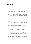#### **Article 8. Completion time**

If in the context of an agreement, a term has been agreed on for the completion of certain activities, this is not a strict deadline, unless explicitly agreed otherwise in writing.

#### **Article 9. Force majeure**

- In the event of force majeure (i.e. any shortcoming that cannot reasonably be attributed to Women in Sales B.V.), the obligations of Women in Sales B.V. will be suspended without the client being entitled to compensation of costs, damage or interest on that basis.
- 2. If the period during which Women in Sales B.V. cannot fulfil its obligations due to force majeure lasts longer than two (2) months, both parties are authorised to terminate the agreement without any right to compensation. Women in Sales B.V. will immediately notify the client of any force majeure situation, after which the term referred to above will commence.
- 3. If Women in Sales B.V. has already fulfilled some of its obligations when the situation of force majeure commenced, or can only fulfil its obligations partially, it will be entitled to separately invoice any part of the assignment already performed or feasible and the client will be obliged to pay this invoice as if it concerned a separate assignment.

#### **Article 10. Liability**

- 1. Women in Sales B.V. will perform its assignment with the necessary care. Women in Sales B.V. undertakes - given the circumstances - to make a maximum effort, but can never be held liable for the absence of the anticipated result.
- 2. If Women in Sales B.V. is held liable, any liability will be limited to a maximum of the invoice amount of the assignment (excluding VAT), at least, to that part of the assignment to which the liability relates, with a maximum of € 10,000.00 (ten thousand Euros).
- 3. If a third party is engaged for the performance of an assignment, Women in Sales B.V. is never liable for any errors or any shortcoming whatsoever of this third party. Women in Sales B.V. explicitly excludes any liability for damage, for whatever reason, caused by a third party.
- 4. Women in Sales B.V. is only liable for direct damage. Direct damage or loss is limited to:
	- a. reasonable costs, incurred to determine the cause and extent of the damage, insofar as the determination relates to damage within the meaning of these conditions;
	- b. any reasonable costs incurred to ensure the performance of Women in Sales B.V. complies with the agreement, insofar as this can be attributed to Women in Sales B.V. However, this replacement damage will not be compensated if the agreement is dissolved by or at the request of Women in Sales B.V.
	- c. reasonable costs, incurred to prevent or limit damage, insofar as the client demonstrates that these costs have led to a reduction of direct damage within the meaning of these terms and conditions.
- 5. Women in Sales B.V. excludes all liability for indirect damage, consequential damage, lost profit, lost savings, reduced goodwill, damage due to business interruptions, damage as a result of claims from customers of Women in Sales B.V., mutilation or loss of data, damage related to the use of prescribed goods, materials or software from third parties, damage related to the engagement of prescribed suppliers and all forms of damage other than those mentioned in this article, unless they are the result of intent or gross negligence on the part of Women in Sales B.V.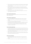- 6. If Women in Sales B.V. is given notice of default, the notice of default must contain a description of the shortcoming that is as complete and detailed as possible, enabling Women in Sales B.V. to respond adequately.
- 7. Any right to compensation arising is always subject to the client reporting the damage to Women in Sales B.V. in writing, as soon as possible after such damage is suffered. Any claim for compensation against Women in Sales B.V. lapses by the mere lapse of 12 months after the damage occurred.
- 8. The client indemnifies Women in Sales B.V. against all third-party claims.
- 9. Notwithstanding the provisions of Sections 7:404 and 7:407, subsection 2 of the Dutch Civil Code, all assignments will be performed.

#### **Article 11. Payment of premiums and tax**

Women in Sales B.V. guarantees the client compliance with social insurance and tax laws with regard to supplied personnel.

#### **Article 12. Taking over supplied workers**

- 1. The client is not permitted to ask a supplied employee to perform work for him under an employment contract, whether or not via third parties, unless the parties explicitly agree otherwise.
- 2. The prohibition referred to in paragraph 1 applies during the term of the assignment as well as for a period of one year after the assignment has terminated.
- 3. If the provisions of this article are violated, the client will owe an immediately due and payable fine of € 10,000 which is not subject to mitigation, without prejudice to Women in Sales B.V.'s right to recover the damage effectively suffered. The forfeited fine does not serve as compensation for damage suffered.

# **Article 13. Protection against hazards**

- 1. In accordance with Section 7:658 of the Dutch Civil Code, the client must fulfil its duty of care and protect the supplier worker from harm. In the same way as provided for in the law, the client is liable towards the supplied worker for damage that he suffers in the performance of his work. The client explicitly indemnifies Women in Sales B.V. if Women in Sales B.V. is held liable by the supplied worker with regard to this damage.
- 2. If Women in Sales B.V. is held liable by the supplied worker for damage for which the client is liable, and has paid compensation in that context, it has a right of recourse against the client for the entire amount it has paid (as well as costs, etc.).

#### **Article 14. Good commissioning**

- 1. When supervising, as well as in relation to performing duties, the client conducts himself towards the supplied worker in the same correct manner as he is obliged towards his own employees.
- 2. The client is not permitted in turn to make the supplied worker available to third parties (the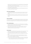performance of work for this third party under the supervision/direction of a third party). Neither is this permitted if this third party belongs to a group of which the client is a part, as referred to in Section 7:691, subsection 6 of the Dutch Civil Code.

- 3. The client is obliged to have the supplied worker perform the agreed work. Deviations from this must be agreed on in writing by the parties.
- 4. The client is not permitted to employ the supplied worker outside the Netherlands without the prior written consent of Women in Sales B.V.

#### **Article 15. Faults, complaint periods**

- 1. Complaints about the work performed must be reported to Women in Sales B.V. by the client within eight (8) days of discovery, but no later than thirty (30) after completion of the work in question.
- 2. If a complaint is justified, Women in Sales B.V. will still perform the work unless this is no longer possible. If the work cannot be performed after all, the client will have to make this known and plausible.

# **Article 16. Confidentiality**

The parties are bound by a duty of confidentiality regarding all confidential information they obtain from each other or other sources by virtue of their agreement. Information is considered confidential if the other party has designated it as such or if such ensues from the nature of the information.

#### **Article 17. Intellectual property**

- 1. All documents provided by Women in Sales B.V., such as reports, advice, etc., are exclusively intended to be used by the client and may not be reproduced, made public or made available to third parties without the prior consent of Women in Sales B.V.
- 2. Women in Sales B.V. reserves the right to use any increased knowledge as a result of the performance of the assignment for other purposes, insofar as this does not cause any confidential information to be disclosed to third parties.

#### **Article 18. Payment**

- Payment must be made within 14 days of the invoice date. The client is not authorised to deduct from this amount any amount due to a counterclaim made by him, by whatever name.
- 2. If the client fails to fulfil his payment obligations in time, he is in default by operation of law. The client owes interest of 1% per month on the amount due and payable from the moment of default.
- 3. In the event of liquidation, bankruptcy, suspension of payments, attachment of the client's assets or in the event an application to that effect has been made, whether or not at its own request, each claim is immediately due and payable.
- 4. The claims of Women in Sales B.V. are also immediately due and payable in the following cases:
	- a. if after concluding the agreement, Women in Sales B.V. becomes aware of circumstances that give it good grounds to believe the client will not fulfil its obligations.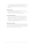- b. if Women in Sales B.V. has at any time requested to provide security for the fulfilment of the (payment) obligations and this security is not forthcoming or is insufficient.
- 5. Payments made by the client first always serve to settle all interest and costs owed and secondly to settle the oldest claims, even if the client argues the payment relates to an invoice of a later date.

# **Article 19. Collection costs**

- 1. If the Client fails to fulfil one or several of its obligations, all judicial and extrajudicial costs incurred to collect payment will be at the expense of the client.
- 2. Without prejudice to the right to obtain full compensation, these costs amount to at least 15% of the amount to be claimed or the costs effectively incurred to obtain payment.

#### **Article 20. Suspension and termination**

- 1. In all cases, Women in Sales B.V. is entitled to suspend the (further) performance of the agreement or to terminate the agreement in the event of a situation as described in Article 14, paragraphs 3 and 4 or if the client does not, not timely or not properly fulfil any obligation, without prejudice to the right of Women in Sales B.V. to claim full compensation.
- 2. Women in Sales B.V. is never liable for any damage on the part of the client as a result of the client failing to fulfil its obligations correctly and Women in Sales B.V. has suspended or terminated the performance of the agreement on that basis.

#### **Article 21. Choice of law and disputes**

The agreement as well as the assignment, application and quotation Women in Sales B.V. are fully governed by Dutch law. The applicability of conditions used by the client is explicitly excluded at all times, except in the case of deviations explicitly agreed on in writing. In all disputes, both parties can turn to the competent civil court if they cannot reach an agreement in mutual consultation. In any case, the court in Amsterdam has jurisdiction to hear these disputes.